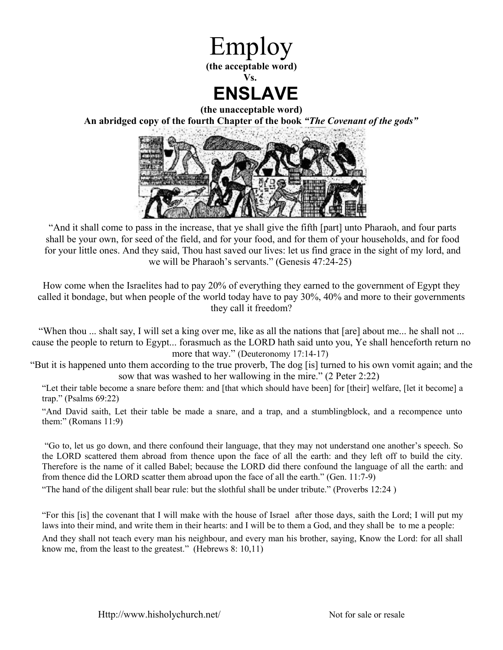

**(the unacceptable word) An abridged copy of the fourth Chapter of the book** *"The Covenant of the gods"*



"And it shall come to pass in the increase, that ye shall give the fifth [part] unto Pharaoh, and four parts shall be your own, for seed of the field, and for your food, and for them of your households, and for food for your little ones. And they said, Thou hast saved our lives: let us find grace in the sight of my lord, and we will be Pharaoh's servants." (Genesis 47:24-25)

How come when the Israelites had to pay 20% of everything they earned to the government of Egypt they called it bondage, but when people of the world today have to pay 30%, 40% and more to their governments they call it freedom?

"When thou ... shalt say, I will set a king over me, like as all the nations that [are] about me... he shall not ... cause the people to return to Egypt... forasmuch as the LORD hath said unto you, Ye shall henceforth return no more that way." (Deuteronomy 17:14-17)

"But it is happened unto them according to the true proverb, The dog [is] turned to his own vomit again; and the sow that was washed to her wallowing in the mire." (2 Peter 2:22)

"Let their table become a snare before them: and [that which should have been] for [their] welfare, [let it become] a trap." (Psalms 69:22)

"And David saith, Let their table be made a snare, and a trap, and a stumblingblock, and a recompence unto them:" (Romans 11:9)

 "Go to, let us go down, and there confound their language, that they may not understand one another's speech. So the LORD scattered them abroad from thence upon the face of all the earth: and they left off to build the city. Therefore is the name of it called Babel; because the LORD did there confound the language of all the earth: and from thence did the LORD scatter them abroad upon the face of all the earth." (Gen. 11:7-9)

"The hand of the diligent shall bear rule: but the slothful shall be under tribute." (Proverbs 12:24 )

"For this [is] the covenant that I will make with the house of Israel after those days, saith the Lord; I will put my laws into their mind, and write them in their hearts: and I will be to them a God, and they shall be to me a people: And they shall not teach every man his neighbour, and every man his brother, saying, Know the Lord: for all shall know me, from the least to the greatest." (Hebrews 8: 10,11)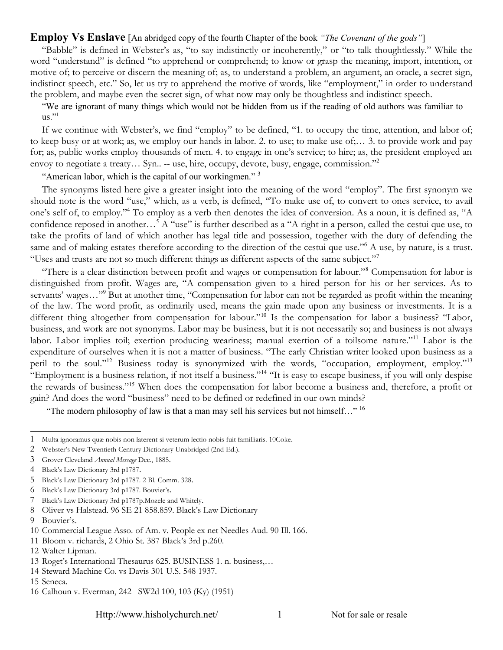#### **Employ Vs Enslave** [An abridged copy of the fourth Chapter of the book *"The Covenant of the gods"*]

"Babble" is defined in Webster's as, "to say indistinctly or incoherently," or "to talk thoughtlessly." While the word "understand" is defined "to apprehend or comprehend; to know or grasp the meaning, import, intention, or motive of; to perceive or discern the meaning of; as, to understand a problem, an argument, an oracle, a secret sign, indistinct speech, etc." So, let us try to apprehend the motive of words, like "employment," in order to understand the problem, and maybe even the secret sign, of what now may only be thoughtless and indistinct speech.

"We are ignorant of many things which would not be hidden from us if the reading of old authors was familiar to  $us.$ "<sup>[1](#page-1-0)</sup>

If we continue with Webster's, we find "employ" to be defined, "1. to occupy the time, attention, and labor of; to keep busy or at work; as, we employ our hands in labor. 2. to use; to make use of;… 3. to provide work and pay for; as, public works employ thousands of men. 4. to engage in one's service; to hire; as, the president employed an envoy to negotiate a treaty... Syn.. -- use, hire, occupy, devote, busy, engage, commission."<sup>[2](#page-1-1)</sup>

"American labor, which is the capital of our workingmen."<sup>[3](#page-1-2)</sup>

The synonyms listed here give a greater insight into the meaning of the word "employ". The first synonym we should note is the word "use," which, as a verb, is defined, "To make use of, to convert to ones service, to avail one's self of, to employ."[4](#page-1-3) To employ as a verb then denotes the idea of conversion. As a noun, it is defined as, "A confidence reposed in another...<sup>[5](#page-1-4)</sup> A "use" is further described as a "A right in a person, called the cestui que use, to take the profits of land of which another has legal title and possession, together with the duty of defending the same and of making estates therefore according to the direction of the cestui que use."<sup>[6](#page-1-5)</sup> A use, by nature, is a trust. "Uses and trusts are not so much different things as different aspects of the same subject."[7](#page-1-6)

"There is a clear distinction between profit and wages or compensation for labour."[8](#page-1-7) Compensation for labor is distinguished from profit. Wages are, "A compensation given to a hired person for his or her services. As to servants' wages..."<sup>[9](#page-1-8)</sup> But at another time, "Compensation for labor can not be regarded as profit within the meaning of the law. The word profit, as ordinarily used, means the gain made upon any business or investments. It is a different thing altogether from compensation for labour."<sup>[10](#page-1-9)</sup> Is the compensation for labor a business? "Labor, business, and work are not synonyms. Labor may be business, but it is not necessarily so; and business is not always labor. Labor implies toil; exertion producing weariness; manual exertion of a toilsome nature."[11](#page-1-10) Labor is the expenditure of ourselves when it is not a matter of business. "The early Christian writer looked upon business as a peril to the soul."<sup>[12](#page-1-11)</sup> Business today is synonymized with the words, "occupation, employment, employ."<sup>[13](#page-1-12)</sup> "Employment is a business relation, if not itself a business."[14](#page-1-13) "It is easy to escape business, if you will only despise the rewards of business."[15](#page-1-14) When does the compensation for labor become a business and, therefore, a profit or gain? And does the word "business" need to be defined or redefined in our own minds?

"The modern philosophy of law is that a man may sell his services but not himself..." <sup>[16](#page-1-15)</sup>

<span id="page-1-0"></span><sup>1</sup> Multa ignoramus quæ nobis non laterent si veterum lectio nobis fuit familliaris. 10Coke.

<span id="page-1-1"></span><sup>2</sup> Webster's New Twentieth Century Dictionary Unabridged (2nd Ed.).

<span id="page-1-2"></span><sup>3</sup> Grover Cleveland *Annual Message* Dec., 1885.

<span id="page-1-3"></span><sup>4</sup> Black's Law Dictionary 3rd p1787.

<span id="page-1-4"></span><sup>5</sup> Black's Law Dictionary 3rd p1787. 2 Bl. Comm. 328.

<span id="page-1-5"></span><sup>6</sup> Black's Law Dictionary 3rd p1787. Bouvier's.

<span id="page-1-6"></span><sup>7</sup> Black's Law Dictionary 3rd p1787p.Mozele and Whitely.

<span id="page-1-7"></span><sup>8</sup> Oliver vs Halstead. 96 SE 21 858.859. Black's Law Dictionary

<span id="page-1-8"></span><sup>9</sup> Bouvier's.

<span id="page-1-9"></span><sup>10</sup> Commercial League Asso. of Am. v. People ex net Needles Aud. 90 Ill. 166.

<span id="page-1-10"></span><sup>11</sup> Bloom v. richards, 2 Ohio St. 387 Black's 3rd p.260.

<span id="page-1-11"></span><sup>12</sup> Walter Lipman.

<span id="page-1-12"></span><sup>13</sup> Roget's International Thesaurus 625. BUSINESS 1. n. business,…

<span id="page-1-13"></span><sup>14</sup> Steward Machine Co. vs Davis 301 U.S. 548 1937.

<span id="page-1-14"></span><sup>15</sup> Seneca.

<span id="page-1-15"></span><sup>16</sup> Calhoun v. Everman, 242 SW2d 100, 103 (Ky) (1951)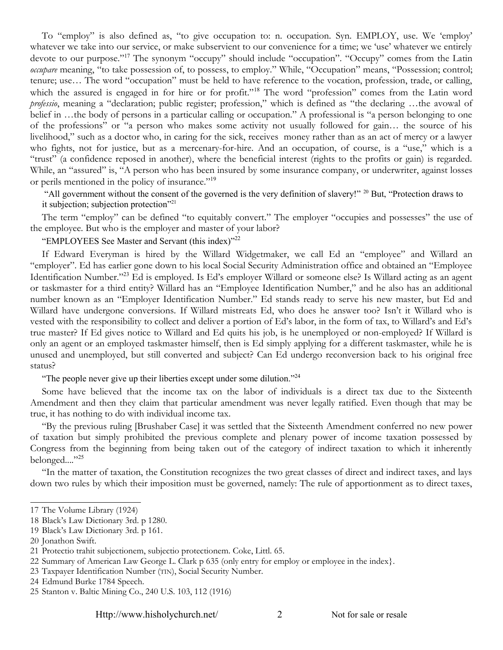To "employ" is also defined as, "to give occupation to: n. occupation. Syn. EMPLOY, use. We 'employ' whatever we take into our service, or make subservient to our convenience for a time; we 'use' whatever we entirely devote to our purpose."<sup>[17](#page-2-0)</sup> The synonym "occupy" should include "occupation". "Occupy" comes from the Latin *occupare* meaning, "to take possession of, to possess, to employ." While, "Occupation" means, "Possession; control; tenure; use… The word "occupation" must be held to have reference to the vocation, profession, trade, or calling, which the assured is engaged in for hire or for profit."<sup>[18](#page-2-1)</sup> The word "profession" comes from the Latin word *professio*, meaning a "declaration; public register; profession," which is defined as "the declaring …the avowal of belief in ...the body of persons in a particular calling or occupation." A professional is "a person belonging to one of the professions" or "a person who makes some activity not usually followed for gain… the source of his livelihood," such as a doctor who, in caring for the sick, receives money rather than as an act of mercy or a lawyer who fights, not for justice, but as a mercenary-for-hire. And an occupation, of course, is a "use," which is a "trust" (a confidence reposed in another), where the beneficial interest (rights to the profits or gain) is regarded. While, an "assured" is, "A person who has been insured by some insurance company, or underwriter, against losses or perils mentioned in the policy of insurance."[19](#page-2-2)

"All government without the consent of the governed is the very definition of slavery!" <sup>[20](#page-2-3)</sup> But, "Protection draws to it subjection; subjection protection"<sup>[21](#page-2-4)</sup>

The term "employ" can be defined "to equitably convert." The employer "occupies and possesses" the use of the employee. But who is the employer and master of your labor?

"EMPLOYEES See Master and Servant (this index)"<sup>[22](#page-2-5)</sup>

If Edward Everyman is hired by the Willard Widgetmaker, we call Ed an "employee" and Willard an "employer". Ed has earlier gone down to his local Social Security Administration office and obtained an "Employee Identification Number."<sup>[23](#page-2-6)</sup> Ed is employed. Is Ed's employer Willard or someone else? Is Willard acting as an agent or taskmaster for a third entity? Willard has an "Employee Identification Number," and he also has an additional number known as an "Employer Identification Number." Ed stands ready to serve his new master, but Ed and Willard have undergone conversions. If Willard mistreats Ed, who does he answer too? Isn't it Willard who is vested with the responsibility to collect and deliver a portion of Ed's labor, in the form of tax, to Willard's and Ed's true master? If Ed gives notice to Willard and Ed quits his job, is he unemployed or non-employed? If Willard is only an agent or an employed taskmaster himself, then is Ed simply applying for a different taskmaster, while he is unused and unemployed, but still converted and subject? Can Ed undergo reconversion back to his original free status?

"The people never give up their liberties except under some dilution."<sup>[24](#page-2-7)</sup>

Some have believed that the income tax on the labor of individuals is a direct tax due to the Sixteenth Amendment and then they claim that particular amendment was never legally ratified. Even though that may be true, it has nothing to do with individual income tax.

"By the previous ruling [Brushaber Case] it was settled that the Sixteenth Amendment conferred no new power of taxation but simply prohibited the previous complete and plenary power of income taxation possessed by Congress from the beginning from being taken out of the category of indirect taxation to which it inherently belonged...."<sup>[25](#page-2-8)</sup>

"In the matter of taxation, the Constitution recognizes the two great classes of direct and indirect taxes, and lays down two rules by which their imposition must be governed, namely: The rule of apportionment as to direct taxes,

<span id="page-2-0"></span><sup>17</sup> The Volume Library (1924)

<span id="page-2-1"></span><sup>18</sup> Black's Law Dictionary 3rd. p 1280.

<span id="page-2-2"></span><sup>19</sup> Black's Law Dictionary 3rd. p 161.

<span id="page-2-3"></span><sup>20</sup> Jonathon Swift.

<span id="page-2-4"></span><sup>21</sup> Protectio trahit subjectionem, subjectio protectionem. Coke, Littl. 65.

<span id="page-2-5"></span><sup>22</sup> Summary of American Law George L. Clark p 635 (only entry for employ or employee in the index}.

<span id="page-2-6"></span><sup>23</sup> Taxpayer Identification Number (TIN), Social Security Number.

<span id="page-2-7"></span><sup>24</sup> Edmund Burke 1784 Speech.

<span id="page-2-8"></span><sup>25</sup> Stanton v. Baltic Mining Co., 240 U.S. 103, 112 (1916)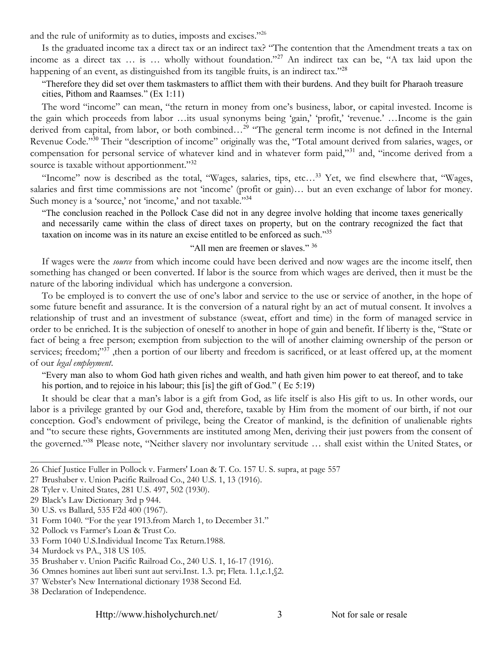and the rule of uniformity as to duties, imposts and excises."[26](#page-3-0)

Is the graduated income tax a direct tax or an indirect tax? "The contention that the Amendment treats a tax on income as a direct tax ... is ... wholly without foundation."<sup>[27](#page-3-1)</sup> An indirect tax can be, "A tax laid upon the happening of an event, as distinguished from its tangible fruits, is an indirect tax."<sup>[28](#page-3-2)</sup>

"Therefore they did set over them taskmasters to afflict them with their burdens. And they built for Pharaoh treasure cities, Pithom and Raamses." (Ex 1:11)

The word "income" can mean, "the return in money from one's business, labor, or capital invested. Income is the gain which proceeds from labor …its usual synonyms being 'gain,' 'profit,' 'revenue.' …Income is the gain derived from capital, from labor, or both combined...<sup>[29](#page-3-3)</sup> "The general term income is not defined in the Internal Revenue Code."[30](#page-3-4) Their "description of income" originally was the, "Total amount derived from salaries, wages, or compensation for personal service of whatever kind and in whatever form paid,"<sup>[31](#page-3-5)</sup> and, "income derived from a source is taxable without apportionment."<sup>[32](#page-3-6)</sup>

"Income" now is described as the total, "Wages, salaries, tips, etc…[33](#page-3-7) Yet, we find elsewhere that, "Wages, salaries and first time commissions are not 'income' (profit or gain)... but an even exchange of labor for money. Such money is a 'source,' not 'income,' and not taxable."<sup>[34](#page-3-8)</sup>

"The conclusion reached in the Pollock Case did not in any degree involve holding that income taxes generically and necessarily came within the class of direct taxes on property, but on the contrary recognized the fact that taxation on income was in its nature an excise entitled to be enforced as such."[35](#page-3-9)

#### "All men are freemen or slaves." [36](#page-3-10)

If wages were the *source* from which income could have been derived and now wages are the income itself, then something has changed or been converted. If labor is the source from which wages are derived, then it must be the nature of the laboring individual which has undergone a conversion.

To be employed is to convert the use of one's labor and service to the use or service of another, in the hope of some future benefit and assurance. It is the conversion of a natural right by an act of mutual consent. It involves a relationship of trust and an investment of substance (sweat, effort and time) in the form of managed service in order to be enriched. It is the subjection of oneself to another in hope of gain and benefit. If liberty is the, "State or fact of being a free person; exemption from subjection to the will of another claiming ownership of the person or services; freedom;"<sup>[37](#page-3-11)</sup>, then a portion of our liberty and freedom is sacrificed, or at least offered up, at the moment of our *legal employment*.

"Every man also to whom God hath given riches and wealth, and hath given him power to eat thereof, and to take his portion, and to rejoice in his labour; this [is] the gift of God." (Ec 5:19)

It should be clear that a man's labor is a gift from God, as life itself is also His gift to us. In other words, our labor is a privilege granted by our God and, therefore, taxable by Him from the moment of our birth, if not our conception. God's endowment of privilege, being the Creator of mankind, is the definition of unalienable rights and "to secure these rights, Governments are instituted among Men, deriving their just powers from the consent of the governed."[38](#page-3-12) Please note, "Neither slavery nor involuntary servitude … shall exist within the United States, or

<span id="page-3-0"></span><sup>26</sup> Chief Justice Fuller in Pollock v. Farmers' Loan & T. Co. 157 U. S. supra, at page 557

<span id="page-3-1"></span><sup>27</sup> Brushaber v. Union Pacific Railroad Co., 240 U.S. 1, 13 (1916).

<span id="page-3-2"></span><sup>28</sup> Tyler v. United States, 281 U.S. 497, 502 (1930).

<span id="page-3-3"></span><sup>29</sup> Black's Law Dictionary 3rd p 944.

<span id="page-3-4"></span><sup>30</sup> U.S. vs Ballard, 535 F2d 400 (1967).

<span id="page-3-5"></span><sup>31</sup> Form 1040. "For the year 1913.from March 1, to December 31."

<span id="page-3-6"></span><sup>32</sup> Pollock vs Farmer's Loan & Trust Co.

<span id="page-3-7"></span><sup>33</sup> Form 1040 U.S.Individual Income Tax Return.1988.

<span id="page-3-8"></span><sup>34</sup> Murdock vs PA., 318 US 105.

<span id="page-3-9"></span><sup>35</sup> Brushaber v. Union Pacific Railroad Co., 240 U.S. 1, 16-17 (1916).

<span id="page-3-10"></span><sup>36</sup> Omnes homines aut liberi sunt aut servi.Inst. 1.3. pr; Fleta. 1.1,c.1,§2.

<span id="page-3-11"></span><sup>37</sup> Webster's New International dictionary 1938 Second Ed.

<span id="page-3-12"></span><sup>38</sup> Declaration of Independence.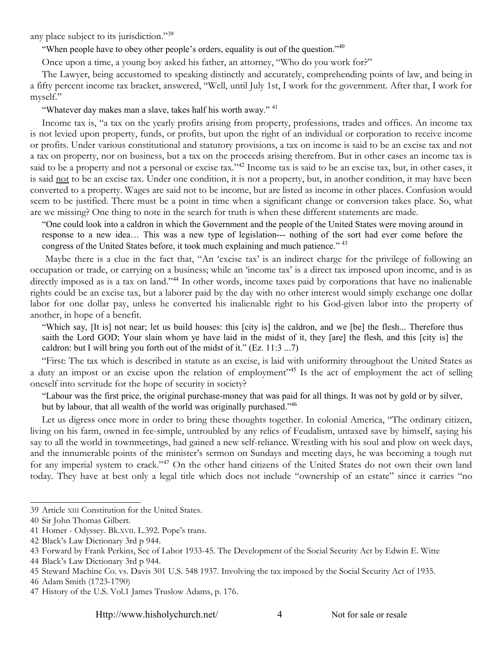any place subject to its jurisdiction."<sup>[39](#page-4-0)</sup>

"When people have to obey other people's orders, equality is out of the question."<sup>[40](#page-4-1)</sup>

Once upon a time, a young boy asked his father, an attorney, "Who do you work for?"

The Lawyer, being accustomed to speaking distinctly and accurately, comprehending points of law, and being in a fifty percent income tax bracket, answered, "Well, until July 1st, I work for the government. After that, I work for myself."

"Whatever day makes man a slave, takes half his worth away." <sup>[41](#page-4-2)</sup>

Income tax is, "a tax on the yearly profits arising from property, professions, trades and offices. An income tax is not levied upon property, funds, or profits, but upon the right of an individual or corporation to receive income or profits. Under various constitutional and statutory provisions, a tax on income is said to be an excise tax and not a tax on property, nor on business, but a tax on the proceeds arising therefrom. But in other cases an income tax is said to be a property and not a personal or excise tax."<sup>[42](#page-4-3)</sup> Income tax is said to be an excise tax, but, in other cases, it is said not to be an excise tax. Under one condition, it is not a property, but, in another condition, it may have been converted to a property. Wages are said not to be income, but are listed as income in other places. Confusion would seem to be justified. There must be a point in time when a significant change or conversion takes place. So, what are we missing? One thing to note in the search for truth is when these different statements are made.

"One could look into a caldron in which the Government and the people of the United States were moving around in response to a new idea… This was a new type of legislation--- nothing of the sort had ever come before the congress of the United States before, it took much explaining and much patience." <sup>[43](#page-4-4)</sup>

 Maybe there is a clue in the fact that, "An 'excise tax' is an indirect charge for the privilege of following an occupation or trade, or carrying on a business; while an 'income tax' is a direct tax imposed upon income, and is as directly imposed as is a tax on land."<sup>[44](#page-4-5)</sup> In other words, income taxes paid by corporations that have no inalienable rights could be an excise tax, but a laborer paid by the day with no other interest would simply exchange one dollar labor for one dollar pay, unless he converted his inalienable right to his God-given labor into the property of another, in hope of a benefit.

"Which say, [It is] not near; let us build houses: this [city is] the caldron, and we [be] the flesh... Therefore thus saith the Lord GOD; Your slain whom ye have laid in the midst of it, they [are] the flesh, and this [city is] the caldron: but I will bring you forth out of the midst of it." (Ez. 11:3 ...7)

"First: The tax which is described in statute as an excise, is laid with uniformity throughout the United States as a duty an impost or an excise upon the relation of employment"<sup>[45](#page-4-6)</sup> Is the act of employment the act of selling oneself into servitude for the hope of security in society?

"Labour was the first price, the original purchase-money that was paid for all things. It was not by gold or by silver, but by labour, that all wealth of the world was originally purchased."<sup>[46](#page-4-7)</sup>

Let us digress once more in order to bring these thoughts together. In colonial America, "The ordinary citizen, living on his farm, owned in fee-simple, untroubled by any relics of Feudalism, untaxed save by himself, saying his say to all the world in townmeetings, had gained a new self-reliance. Wrestling with his soul and plow on week days, and the innumerable points of the minister's sermon on Sundays and meeting days, he was becoming a tough nut for any imperial system to crack."<sup>[47](#page-4-8)</sup> On the other hand citizens of the United States do not own their own land today. They have at best only a legal title which does not include "ownership of an estate" since it carries "no

<span id="page-4-0"></span><sup>39</sup> Article XIII Constitution for the United States.

<span id="page-4-1"></span><sup>40</sup> Sir John Thomas Gilbert.

<span id="page-4-2"></span><sup>41</sup> Homer - Odyssey. Bk.XVII. L.392. Pope's trans.

<span id="page-4-3"></span><sup>42</sup> Black's Law Dictionary 3rd p 944.

<span id="page-4-4"></span><sup>43</sup> Forward by Frank Perkins, Sec of Labor 1933-45. The Development of the Social Security Act by Edwin E. Witte

<span id="page-4-5"></span><sup>44</sup> Black's Law Dictionary 3rd p 944.

<span id="page-4-6"></span><sup>45</sup> Steward Machine Co. vs. Davis 301 U.S. 548 1937. Involving the tax imposed by the Social Security Act of 1935.

<span id="page-4-7"></span><sup>46</sup> Adam Smith (1723-1790)

<span id="page-4-8"></span><sup>47</sup> History of the U.S. Vol.1 James Truslow Adams, p. 176.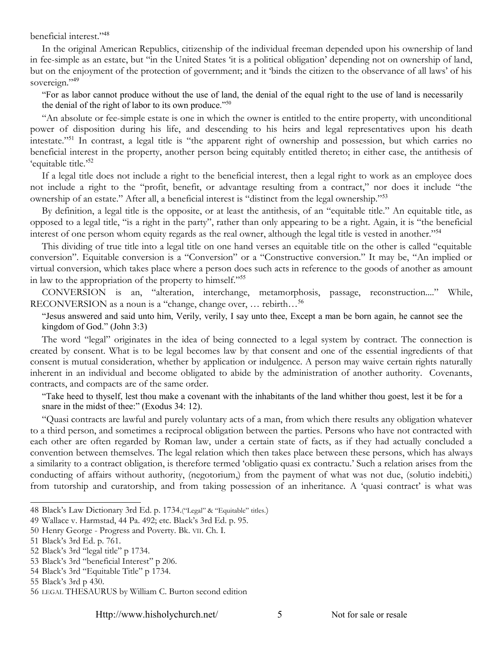beneficial interest."<sup>[48](#page-5-0)</sup>

In the original American Republics, citizenship of the individual freeman depended upon his ownership of land in fee-simple as an estate, but "in the United States 'it is a political obligation' depending not on ownership of land, but on the enjoyment of the protection of government; and it 'binds the citizen to the observance of all laws' of his sovereign."[49](#page-5-1)

"For as labor cannot produce without the use of land, the denial of the equal right to the use of land is necessarily the denial of the right of labor to its own produce."[50](#page-5-2)

"An absolute or fee-simple estate is one in which the owner is entitled to the entire property, with unconditional power of disposition during his life, and descending to his heirs and legal representatives upon his death intestate."[51](#page-5-3) In contrast, a legal title is "the apparent right of ownership and possession, but which carries no beneficial interest in the property, another person being equitably entitled thereto; in either case, the antithesis of 'equitable title.'[52](#page-5-4)

If a legal title does not include a right to the beneficial interest, then a legal right to work as an employee does not include a right to the "profit, benefit, or advantage resulting from a contract," nor does it include "the ownership of an estate." After all, a beneficial interest is "distinct from the legal ownership."<sup>[53](#page-5-5)</sup>

By definition, a legal title is the opposite, or at least the antithesis, of an "equitable title." An equitable title, as opposed to a legal title, "is a right in the party", rather than only appearing to be a right. Again, it is "the beneficial interest of one person whom equity regards as the real owner, although the legal title is vested in another."[54](#page-5-6)

This dividing of true title into a legal title on one hand verses an equitable title on the other is called "equitable conversion". Equitable conversion is a "Conversion" or a "Constructive conversion." It may be, "An implied or virtual conversion, which takes place where a person does such acts in reference to the goods of another as amount in law to the appropriation of the property to himself."[55](#page-5-7)

CONVERSION is an, "alteration, interchange, metamorphosis, passage, reconstruction...." While, RECONVERSION as a noun is a "change, change over, ... rebirth...<sup>[56](#page-5-8)</sup>

"Jesus answered and said unto him, Verily, verily, I say unto thee, Except a man be born again, he cannot see the kingdom of God." (John 3:3)

The word "legal" originates in the idea of being connected to a legal system by contract. The connection is created by consent. What is to be legal becomes law by that consent and one of the essential ingredients of that consent is mutual consideration, whether by application or indulgence. A person may waive certain rights naturally inherent in an individual and become obligated to abide by the administration of another authority. Covenants, contracts, and compacts are of the same order.

"Take heed to thyself, lest thou make a covenant with the inhabitants of the land whither thou goest, lest it be for a snare in the midst of thee:" (Exodus 34: 12).

"Quasi contracts are lawful and purely voluntary acts of a man, from which there results any obligation whatever to a third person, and sometimes a reciprocal obligation between the parties. Persons who have not contracted with each other are often regarded by Roman law, under a certain state of facts, as if they had actually concluded a convention between themselves. The legal relation which then takes place between these persons, which has always a similarity to a contract obligation, is therefore termed 'obligatio quasi ex contractu.' Such a relation arises from the conducting of affairs without authority, (negotorium,) from the payment of what was not due, (solutio indebiti,) from tutorship and curatorship, and from taking possession of an inheritance. A 'quasi contract' is what was

Http://www.hisholychurch.net/ 5 Not for sale or resale

<span id="page-5-0"></span><sup>48</sup> Black's Law Dictionary 3rd Ed. p. 1734.("Legal" & "Equitable" titles.)

<span id="page-5-1"></span><sup>49</sup> Wallace v. Harmstad, 44 Pa. 492; etc. Black's 3rd Ed. p. 95.

<span id="page-5-2"></span><sup>50</sup> Henry George - Progress and Poverty. Bk. VII. Ch. I.

<span id="page-5-3"></span><sup>51</sup> Black's 3rd Ed. p. 761.

<span id="page-5-4"></span><sup>52</sup> Black's 3rd "legal title" p 1734.

<span id="page-5-5"></span><sup>53</sup> Black's 3rd "beneficial Interest" p 206.

<span id="page-5-6"></span><sup>54</sup> Black's 3rd "Equitable Title" p 1734.

<span id="page-5-7"></span><sup>55</sup> Black's 3rd p 430.

<span id="page-5-8"></span><sup>56</sup> LEGAL THESAURUS by William C. Burton second edition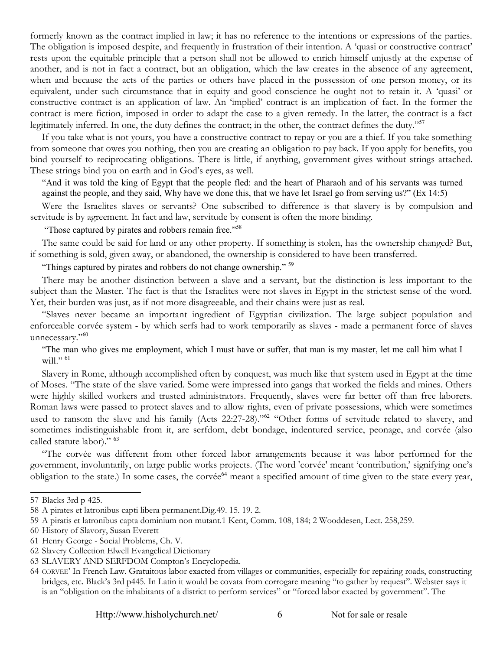formerly known as the contract implied in law; it has no reference to the intentions or expressions of the parties. The obligation is imposed despite, and frequently in frustration of their intention. A 'quasi or constructive contract' rests upon the equitable principle that a person shall not be allowed to enrich himself unjustly at the expense of another, and is not in fact a contract, but an obligation, which the law creates in the absence of any agreement, when and because the acts of the parties or others have placed in the possession of one person money, or its equivalent, under such circumstance that in equity and good conscience he ought not to retain it. A 'quasi' or constructive contract is an application of law. An 'implied' contract is an implication of fact. In the former the contract is mere fiction, imposed in order to adapt the case to a given remedy. In the latter, the contract is a fact legitimately inferred. In one, the duty defines the contract; in the other, the contract defines the duty."<sup>[57](#page-6-0)</sup>

If you take what is not yours, you have a constructive contract to repay or you are a thief. If you take something from someone that owes you nothing, then you are creating an obligation to pay back. If you apply for benefits, you bind yourself to reciprocating obligations. There is little, if anything, government gives without strings attached. These strings bind you on earth and in God's eyes, as well.

"And it was told the king of Egypt that the people fled: and the heart of Pharaoh and of his servants was turned against the people, and they said, Why have we done this, that we have let Israel go from serving us?" (Ex 14:5)

Were the Israelites slaves or servants? One subscribed to difference is that slavery is by compulsion and servitude is by agreement. In fact and law, servitude by consent is often the more binding.

"Those captured by pirates and robbers remain free."[58](#page-6-1)

The same could be said for land or any other property. If something is stolen, has the ownership changed? But, if something is sold, given away, or abandoned, the ownership is considered to have been transferred.

"Things captured by pirates and robbers do not change ownership."<sup>[59](#page-6-2)</sup>

There may be another distinction between a slave and a servant, but the distinction is less important to the subject than the Master. The fact is that the Israelites were not slaves in Egypt in the strictest sense of the word. Yet, their burden was just, as if not more disagreeable, and their chains were just as real.

"Slaves never became an important ingredient of Egyptian civilization. The large subject population and enforceable corvée system - by which serfs had to work temporarily as slaves - made a permanent force of slaves unnecessary."<sup>[60](#page-6-3)</sup>

"The man who gives me employment, which I must have or suffer, that man is my master, let me call him what I will."  $61$ 

Slavery in Rome, although accomplished often by conquest, was much like that system used in Egypt at the time of Moses. "The state of the slave varied. Some were impressed into gangs that worked the fields and mines. Others were highly skilled workers and trusted administrators. Frequently, slaves were far better off than free laborers. Roman laws were passed to protect slaves and to allow rights, even of private possessions, which were sometimes used to ransom the slave and his family (Acts 22:27-28)."<sup>[62](#page-6-5)</sup> "Other forms of servitude related to slavery, and sometimes indistinguishable from it, are serfdom, debt bondage, indentured service, peonage, and corvée (also called statute labor)." [63](#page-6-6)

"The corvée was different from other forced labor arrangements because it was labor performed for the government, involuntarily, on large public works projects. (The word 'corvée' meant 'contribution,' signifying one's obligation to the state.) In some cases, the corvée<sup>[64](#page-6-7)</sup> meant a specified amount of time given to the state every year,

<span id="page-6-0"></span><sup>57</sup> Blacks 3rd p 425.

<span id="page-6-1"></span><sup>58</sup> A pirates et latronibus capti libera permanent.Dig.49. 15. 19. 2.

<span id="page-6-2"></span><sup>59</sup> A piratis et latronibus capta dominium non mutant.1 Kent, Comm. 108, 184; 2 Wooddesen, Lect. 258,259.

<span id="page-6-3"></span><sup>60</sup> History of Slavory, Susan Everett

<span id="page-6-4"></span><sup>61</sup> Henry George - Social Problems, Ch. V.

<span id="page-6-5"></span><sup>62</sup> Slavery Collection Elwell Evangelical Dictionary

<span id="page-6-6"></span><sup>63</sup> SLAVERY AND SERFDOM Compton's Encyclopedia.

<span id="page-6-7"></span><sup>64</sup> CORVEE' In French Law. Gratuitous labor exacted from villages or communities, especially for repairing roads, constructing bridges, etc. Black's 3rd p445. In Latin it would be covata from corrogare meaning "to gather by request". Webster says it is an "obligation on the inhabitants of a district to perform services" or "forced labor exacted by government". The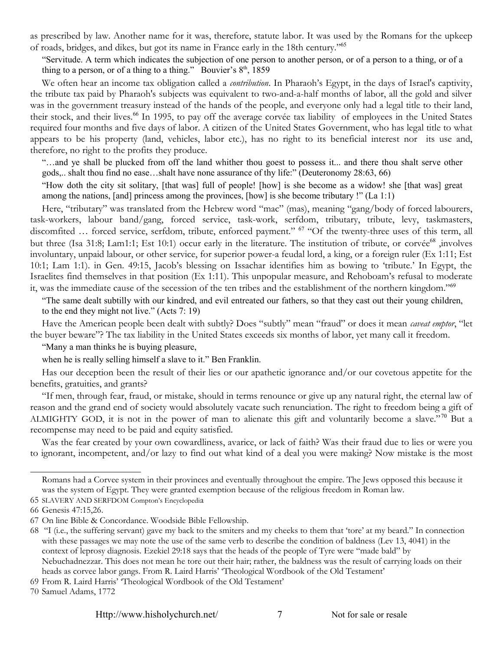as prescribed by law. Another name for it was, therefore, statute labor. It was used by the Romans for the upkeep of roads, bridges, and dikes, but got its name in France early in the 18th century."[65](#page-7-0)

"Servitude. A term which indicates the subjection of one person to another person, or of a person to a thing, or of a thing to a person, or of a thing to a thing." Bouvier's  $8<sup>th</sup>$ , 1859

We often hear an income tax obligation called a *contribution*. In Pharaoh's Egypt, in the days of Israel's captivity, the tribute tax paid by Pharaoh's subjects was equivalent to two-and-a-half months of labor, all the gold and silver was in the government treasury instead of the hands of the people, and everyone only had a legal title to their land, their stock, and their lives.<sup>[66](#page-7-1)</sup> In 1995, to pay off the average corvée tax liability of employees in the United States required four months and five days of labor. A citizen of the United States Government, who has legal title to what appears to be his property (land, vehicles, labor etc.), has no right to its beneficial interest nor its use and, therefore, no right to the profits they produce.

"…and ye shall be plucked from off the land whither thou goest to possess it... and there thou shalt serve other gods,.. shalt thou find no ease…shalt have none assurance of thy life:" (Deuteronomy 28:63, 66)

"How doth the city sit solitary, [that was] full of people! [how] is she become as a widow! she [that was] great among the nations, [and] princess among the provinces, [how] is she become tributary !" (La 1:1)

Here, "tributary" was translated from the Hebrew word "mac" (mas), meaning "gang/body of forced labourers, task-workers, labour band/gang, forced service, task-work, serfdom, tributary, tribute, levy, taskmasters, discomfited ... forced service, serfdom, tribute, enforced payment." <sup>[67](#page-7-2)</sup> "Of the twenty-three uses of this term, all but three (Isa 31:8; Lam1:1; Est 10:1) occur early in the literature. The institution of tribute, or corvée<sup>[68](#page-7-3)</sup>, involves involuntary, unpaid labour, or other service, for superior power-a feudal lord, a king, or a foreign ruler (Ex 1:11; Est 10:1; Lam 1:1). in Gen. 49:15, Jacob's blessing on Issachar identifies him as bowing to 'tribute.' In Egypt, the Israelites find themselves in that position (Ex 1:11). This unpopular measure, and Rehoboam's refusal to moderate it, was the immediate cause of the secession of the ten tribes and the establishment of the northern kingdom."<sup>[69](#page-7-4)</sup>

"The same dealt subtilly with our kindred, and evil entreated our fathers, so that they cast out their young children, to the end they might not live." (Acts 7: 19)

Have the American people been dealt with subtly? Does "subtly" mean "fraud" or does it mean *caveat emptor*, "let the buyer beware"? The tax liability in the United States exceeds six months of labor, yet many call it freedom.

"Many a man thinks he is buying pleasure,

when he is really selling himself a slave to it." Ben Franklin.

Has our deception been the result of their lies or our apathetic ignorance and/or our covetous appetite for the benefits, gratuities, and grants?

"If men, through fear, fraud, or mistake, should in terms renounce or give up any natural right, the eternal law of reason and the grand end of society would absolutely vacate such renunciation. The right to freedom being a gift of ALMIGHTY GOD, it is not in the power of man to alienate this gift and voluntarily become a slave."<sup>[70](#page-7-5)</sup> But a recompense may need to be paid and equity satisfied.

Was the fear created by your own cowardliness, avarice, or lack of faith? Was their fraud due to lies or were you to ignorant, incompetent, and/or lazy to find out what kind of a deal you were making? Now mistake is the most

Romans had a Corvee system in their provinces and eventually throughout the empire. The Jews opposed this because it was the system of Egypt. They were granted exemption because of the religious freedom in Roman law.

<span id="page-7-0"></span><sup>65</sup> SLAVERY AND SERFDOM Compton's Encyclopedia

<span id="page-7-1"></span><sup>66</sup> Genesis 47:15,26.

<span id="page-7-2"></span><sup>67</sup> On line Bible & Concordance. Woodside Bible Fellowship.

<span id="page-7-3"></span><sup>68 &</sup>quot;I (i.e., the suffering servant) gave my back to the smiters and my cheeks to them that 'tore' at my beard." In connection with these passages we may note the use of the same verb to describe the condition of baldness (Lev 13, 4041) in the context of leprosy diagnosis. Ezekiel 29:18 says that the heads of the people of Tyre were "made bald" by Nebuchadnezzar. This does not mean he tore out their hair; rather, the baldness was the result of carrying loads on their heads as corvee labor gangs. From R. Laird Harris' 'Theological Wordbook of the Old Testament'

<span id="page-7-4"></span><sup>69</sup> From R. Laird Harris' 'Theological Wordbook of the Old Testament'

<span id="page-7-5"></span><sup>70</sup> Samuel Adams, 1772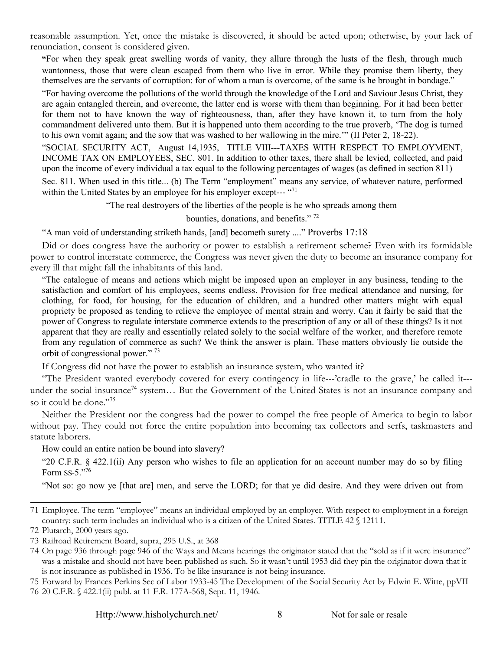reasonable assumption. Yet, once the mistake is discovered, it should be acted upon; otherwise, by your lack of renunciation, consent is considered given.

**"**For when they speak great swelling words of vanity, they allure through the lusts of the flesh, through much wantonness, those that were clean escaped from them who live in error. While they promise them liberty, they themselves are the servants of corruption: for of whom a man is overcome, of the same is he brought in bondage."

"For having overcome the pollutions of the world through the knowledge of the Lord and Saviour Jesus Christ, they are again entangled therein, and overcome, the latter end is worse with them than beginning. For it had been better for them not to have known the way of righteousness, than, after they have known it, to turn from the holy commandment delivered unto them. But it is happened unto them according to the true proverb, 'The dog is turned to his own vomit again; and the sow that was washed to her wallowing in the mire.'" (II Peter 2, 18-22).

"SOCIAL SECURITY ACT, August 14,1935, TITLE VIII---TAXES WITH RESPECT TO EMPLOYMENT, INCOME TAX ON EMPLOYEES, SEC. 801. In addition to other taxes, there shall be levied, collected, and paid upon the income of every individual a tax equal to the following percentages of wages (as defined in section 811) Sec. 811. When used in this title... (b) The Term "employment" means any service, of whatever nature, performed within the United States by an employee for his employer except--- "[71](#page-8-0)"

"The real destroyers of the liberties of the people is he who spreads among them

bounties, donations, and benefits." [72](#page-8-1)

"A man void of understanding striketh hands, [and] becometh surety ...." Proverbs 17:18

Did or does congress have the authority or power to establish a retirement scheme? Even with its formidable power to control interstate commerce, the Congress was never given the duty to become an insurance company for every ill that might fall the inhabitants of this land.

"The catalogue of means and actions which might be imposed upon an employer in any business, tending to the satisfaction and comfort of his employees, seems endless. Provision for free medical attendance and nursing, for clothing, for food, for housing, for the education of children, and a hundred other matters might with equal propriety be proposed as tending to relieve the employee of mental strain and worry. Can it fairly be said that the power of Congress to regulate interstate commerce extends to the prescription of any or all of these things? Is it not apparent that they are really and essentially related solely to the social welfare of the worker, and therefore remote from any regulation of commerce as such? We think the answer is plain. These matters obviously lie outside the orbit of congressional power." [73](#page-8-2)

If Congress did not have the power to establish an insurance system, who wanted it?

"The President wanted everybody covered for every contingency in life---'cradle to the grave,' he called it--- under the social insurance<sup>[74](#page-8-3)</sup> system... But the Government of the United States is not an insurance company and so it could be done."<sup>[75](#page-8-4)</sup>

Neither the President nor the congress had the power to compel the free people of America to begin to labor without pay. They could not force the entire population into becoming tax collectors and serfs, taskmasters and statute laborers.

How could an entire nation be bound into slavery?

"20 C.F.R. § 422.1(ii) Any person who wishes to file an application for an account number may do so by filing Form  $SS-5.$ <sup>"[76](#page-8-5)</sup>

"Not so: go now ye [that are] men, and serve the LORD; for that ye did desire. And they were driven out from

<span id="page-8-0"></span><sup>71</sup> Employee. The term "employee" means an individual employed by an employer. With respect to employment in a foreign country: such term includes an individual who is a citizen of the United States. TITLE 42 § 12111.

<span id="page-8-1"></span><sup>72</sup> Plutarch, 2000 years ago.

<span id="page-8-2"></span><sup>73</sup> Railroad Retirement Board, supra, 295 U.S., at 368

<span id="page-8-3"></span><sup>74</sup> On page 936 through page 946 of the Ways and Means hearings the originator stated that the "sold as if it were insurance" was a mistake and should not have been published as such. So it wasn't until 1953 did they pin the originator down that it is not insurance as published in 1936. To be like insurance is not being insurance.

<span id="page-8-4"></span><sup>75</sup> Forward by Frances Perkins Sec of Labor 1933-45 The Development of the Social Security Act by Edwin E. Witte, ppVII

<span id="page-8-5"></span><sup>76</sup> 20 C.F.R. § 422.1(ii) publ. at 11 F.R. 177A-568, Sept. 11, 1946.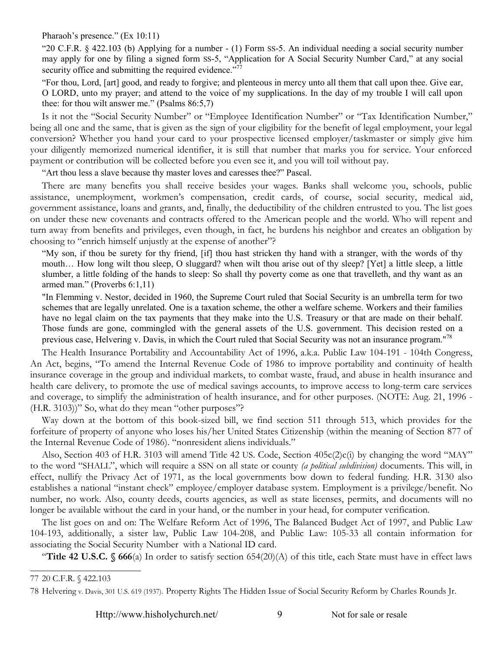Pharaoh's presence." (Ex 10:11)

"20 C.F.R. § 422.103 (b) Applying for a number - (1) Form SS-5. An individual needing a social security number may apply for one by filing a signed form SS-5, "Application for A Social Security Number Card," at any social security office and submitting the required evidence."<sup>[77](#page-9-0)</sup>

"For thou, Lord, [art] good, and ready to forgive; and plenteous in mercy unto all them that call upon thee. Give ear, O LORD, unto my prayer; and attend to the voice of my supplications. In the day of my trouble I will call upon thee: for thou wilt answer me." (Psalms 86:5,7)

Is it not the "Social Security Number" or "Employee Identification Number" or "Tax Identification Number," being all one and the same, that is given as the sign of your eligibility for the benefit of legal employment, your legal conversion? Whether you hand your card to your prospective licensed employer/taskmaster or simply give him your diligently memorized numerical identifier, it is still that number that marks you for service. Your enforced payment or contribution will be collected before you even see it, and you will toil without pay.

"Art thou less a slave because thy master loves and caresses thee?" Pascal.

There are many benefits you shall receive besides your wages. Banks shall welcome you, schools, public assistance, unemployment, workmen's compensation, credit cards, of course, social security, medical aid, government assistance, loans and grants, and, finally, the deductibility of the children entrusted to you. The list goes on under these new covenants and contracts offered to the American people and the world. Who will repent and turn away from benefits and privileges, even though, in fact, he burdens his neighbor and creates an obligation by choosing to "enrich himself unjustly at the expense of another"?

"My son, if thou be surety for thy friend, [if] thou hast stricken thy hand with a stranger, with the words of thy mouth… How long wilt thou sleep, O sluggard? when wilt thou arise out of thy sleep? [Yet] a little sleep, a little slumber, a little folding of the hands to sleep: So shall thy poverty come as one that travelleth, and thy want as an armed man." (Proverbs 6:1,11)

"In Flemming v. Nestor, decided in 1960, the Supreme Court ruled that Social Security is an umbrella term for two schemes that are legally unrelated. One is a taxation scheme, the other a welfare scheme. Workers and their families have no legal claim on the tax payments that they make into the U.S. Treasury or that are made on their behalf. Those funds are gone, commingled with the general assets of the U.S. government. This decision rested on a previous case, Helvering v. Davis, in which the Court ruled that Social Security was not an insurance program."<sup>[78](#page-9-1)</sup>

The Health Insurance Portability and Accountability Act of 1996, a.k.a. Public Law 104-191 - 104th Congress, An Act, begins, "To amend the Internal Revenue Code of 1986 to improve portability and continuity of health insurance coverage in the group and individual markets, to combat waste, fraud, and abuse in health insurance and health care delivery, to promote the use of medical savings accounts, to improve access to long-term care services and coverage, to simplify the administration of health insurance, and for other purposes. (NOTE: Aug. 21, 1996 - (H.R. 3103))" So, what do they mean "other purposes"?

Way down at the bottom of this book-sized bill, we find section 511 through 513, which provides for the forfeiture of property of anyone who loses his/her United States Citizenship (within the meaning of Section 877 of the Internal Revenue Code of 1986). "nonresident aliens individuals."

Also, Section 403 of H.R. 3103 will amend Title 42 US. Code, Section 405c(2)c(i) by changing the word "MAY" to the word "SHALL", which will require a SSN on all state or county *(a political subdivision)* documents. This will, in effect, nullify the Privacy Act of 1971, as the local governments bow down to federal funding. H.R. 3130 also establishes a national "instant check" employee/employer database system. Employment is a privilege/benefit. No number, no work. Also, county deeds, courts agencies, as well as state licenses, permits, and documents will no longer be available without the card in your hand, or the number in your head, for computer verification.

The list goes on and on: The Welfare Reform Act of 1996, The Balanced Budget Act of 1997, and Public Law 104-193, additionally, a sister law, Public Law 104-208, and Public Law: 105-33 all contain information for associating the Social Security Number with a National ID card.

"**Title 42 U.S.C. § 666**(a) In order to satisfy section 654(20)(A) of this title, each State must have in effect laws

Http://www.hisholychurch.net/ 9 Not for sale or resale

<span id="page-9-0"></span><sup>77</sup> 20 C.F.R. § 422.103

<span id="page-9-1"></span><sup>78</sup> Helvering v. Davis, 301 U.S. 619 (1937). Property Rights The Hidden Issue of Social Security Reform by Charles Rounds Jr.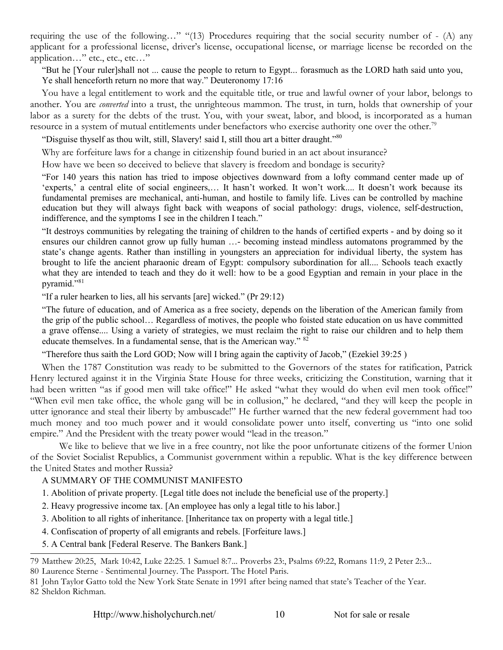requiring the use of the following…" "(13) Procedures requiring that the social security number of - (A) any applicant for a professional license, driver's license, occupational license, or marriage license be recorded on the application…" etc., etc., etc…"

"But he [Your ruler]shall not ... cause the people to return to Egypt... forasmuch as the LORD hath said unto you, Ye shall henceforth return no more that way." Deuteronomy 17:16

You have a legal entitlement to work and the equitable title, or true and lawful owner of your labor, belongs to another. You are *converted* into a trust, the unrighteous mammon. The trust, in turn, holds that ownership of your labor as a surety for the debts of the trust. You, with your sweat, labor, and blood, is incorporated as a human resource in a system of mutual entitlements under benefactors who exercise authority one over the other.<sup>[79](#page-10-0)</sup>

"Disguise thyself as thou wilt, still, Slavery! said I, still thou art a bitter draught."<sup>[80](#page-10-1)</sup>

Why are forfeiture laws for a change in citizenship found buried in an act about insurance?

How have we been so deceived to believe that slavery is freedom and bondage is security?

"For 140 years this nation has tried to impose objectives downward from a lofty command center made up of 'experts,' a central elite of social engineers,… It hasn't worked. It won't work.... It doesn't work because its fundamental premises are mechanical, anti-human, and hostile to family life. Lives can be controlled by machine education but they will always fight back with weapons of social pathology: drugs, violence, self-destruction, indifference, and the symptoms I see in the children I teach."

"It destroys communities by relegating the training of children to the hands of certified experts - and by doing so it ensures our children cannot grow up fully human …- becoming instead mindless automatons programmed by the state's change agents. Rather than instilling in youngsters an appreciation for individual liberty, the system has brought to life the ancient pharaonic dream of Egypt: compulsory subordination for all.... Schools teach exactly what they are intended to teach and they do it well: how to be a good Egyptian and remain in your place in the pyramid."<sup>[81](#page-10-2)</sup>

"If a ruler hearken to lies, all his servants [are] wicked." (Pr 29:12)

"The future of education, and of America as a free society, depends on the liberation of the American family from the grip of the public school… Regardless of motives, the people who foisted state education on us have committed a grave offense.... Using a variety of strategies, we must reclaim the right to raise our children and to help them educate themselves. In a fundamental sense, that is the American way." [82](#page-10-3)

"Therefore thus saith the Lord GOD; Now will I bring again the captivity of Jacob," (Ezekiel 39:25 )

When the 1787 Constitution was ready to be submitted to the Governors of the states for ratification, Patrick Henry lectured against it in the Virginia State House for three weeks, criticizing the Constitution, warning that it had been written "as if good men will take office!" He asked "what they would do when evil men took office!" "When evil men take office, the whole gang will be in collusion," he declared, "and they will keep the people in utter ignorance and steal their liberty by ambuscade!" He further warned that the new federal government had too much money and too much power and it would consolidate power unto itself, converting us "into one solid empire." And the President with the treaty power would "lead in the treason."

We like to believe that we live in a free country, not like the poor unfortunate citizens of the former Union of the Soviet Socialist Republics, a Communist government within a republic. What is the key difference between the United States and mother Russia?

### A SUMMARY OF THE COMMUNIST MANIFESTO

- 1. Abolition of private property. [Legal title does not include the beneficial use of the property.]
- 2. Heavy progressive income tax. [An employee has only a legal title to his labor.]
- 3. Abolition to all rights of inheritance. [Inheritance tax on property with a legal title.]
- 4. Confiscation of property of all emigrants and rebels. [Forfeiture laws.]
- 5. A Central bank [Federal Reserve. The Bankers Bank.]

<span id="page-10-0"></span><sup>79</sup> Matthew 20:25, Mark 10:42, Luke 22:25. 1 Samuel 8:7... Proverbs 23:, Psalms 69:22, Romans 11:9, 2 Peter 2:3...

<span id="page-10-1"></span><sup>80</sup> Laurence Sterne - Sentimental Journey. The Passport. The Hotel Paris.

<span id="page-10-3"></span><span id="page-10-2"></span><sup>81</sup> John Taylor Gatto told the New York State Senate in 1991 after being named that state's Teacher of the Year. 82 Sheldon Richman.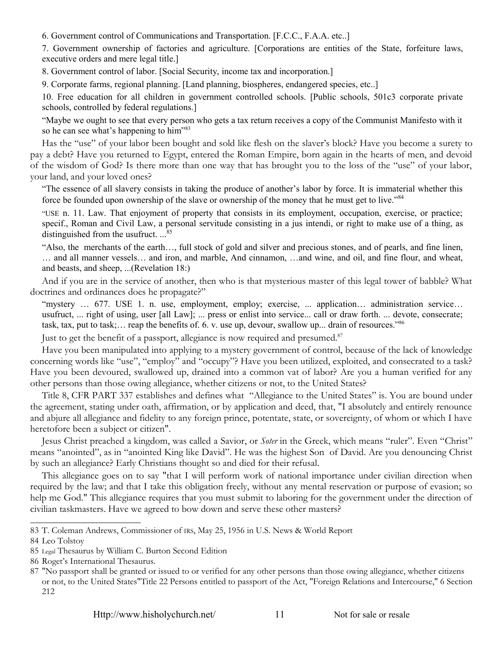6. Government control of Communications and Transportation. [F.C.C., F.A.A. etc..]

7. Government ownership of factories and agriculture. [Corporations are entities of the State, forfeiture laws, executive orders and mere legal title.]

8. Government control of labor. [Social Security, income tax and incorporation.]

9. Corporate farms, regional planning. [Land planning, biospheres, endangered species, etc..]

10. Free education for all children in government controlled schools. [Public schools, 501c3 corporate private schools, controlled by federal regulations.]

"Maybe we ought to see that every person who gets a tax return receives a copy of the Communist Manifesto with it so he can see what's happening to him"<sup>[83](#page-11-0)</sup>

Has the "use" of your labor been bought and sold like flesh on the slaver's block? Have you become a surety to pay a debt? Have you returned to Egypt, entered the Roman Empire, born again in the hearts of men, and devoid of the wisdom of God? Is there more than one way that has brought you to the loss of the "use" of your labor, your land, and your loved ones?

"The essence of all slavery consists in taking the produce of another's labor by force. It is immaterial whether this force be founded upon ownership of the slave or ownership of the money that he must get to live."<sup>[84](#page-11-1)</sup>

"USE n. 11. Law. That enjoyment of property that consists in its employment, occupation, exercise, or practice; specif., Roman and Civil Law, a personal servitude consisting in a jus intendi, or right to make use of a thing, as distinguished from the usufruct. ...<sup>[85](#page-11-2)</sup>

"Also, the merchants of the earth…, full stock of gold and silver and precious stones, and of pearls, and fine linen, … and all manner vessels… and iron, and marble, And cinnamon, …and wine, and oil, and fine flour, and wheat, and beasts, and sheep, ...(Revelation 18:)

And if you are in the service of another, then who is that mysterious master of this legal tower of babble? What doctrines and ordinances does he propagate?"

"mystery … 677. USE 1. n. use, employment, employ; exercise, ... application… administration service… usufruct, ... right of using, user [all Law]; ... press or enlist into service... call or draw forth. ... devote, consecrate; task, tax, put to task;… reap the benefits of. 6. v. use up, devour, swallow up... drain of resources."[86](#page-11-3)

Just to get the benefit of a passport, allegiance is now required and presumed.<sup>[87](#page-11-4)</sup>

Have you been manipulated into applying to a mystery government of control, because of the lack of knowledge concerning words like "use", "employ" and "occupy"? Have you been utilized, exploited, and consecrated to a task? Have you been devoured, swallowed up, drained into a common vat of labor? Are you a human verified for any other persons than those owing allegiance, whether citizens or not, to the United States?

Title 8, CFR PART 337 establishes and defines what "Allegiance to the United States" is. You are bound under the agreement, stating under oath, affirmation, or by application and deed, that, "I absolutely and entirely renounce and abjure all allegiance and fidelity to any foreign prince, potentate, state, or sovereignty, of whom or which I have heretofore been a subject or citizen".

Jesus Christ preached a kingdom, was called a Savior, or *Soter* in the Greek, which means "ruler". Even "Christ" means "anointed", as in "anointed King like David". He was the highest Son of David. Are you denouncing Christ by such an allegiance? Early Christians thought so and died for their refusal.

This allegiance goes on to say "that I will perform work of national importance under civilian direction when required by the law; and that I take this obligation freely, without any mental reservation or purpose of evasion; so help me God." This allegiance requires that you must submit to laboring for the government under the direction of civilian taskmasters. Have we agreed to bow down and serve these other masters?

<span id="page-11-0"></span><sup>83</sup> T. Coleman Andrews, Commissioner of IRS, May 25, 1956 in U.S. News & World Report

<span id="page-11-1"></span><sup>84</sup> Leo Tolstoy

<span id="page-11-2"></span><sup>85</sup> Legal Thesaurus by William C. Burton Second Edition

<span id="page-11-3"></span><sup>86</sup> Roget's International Thesaurus.

<span id="page-11-4"></span><sup>87</sup> "No passport shall be granted or issued to or verified for any other persons than those owing allegiance, whether citizens or not, to the United States"Title 22 Persons entitled to passport of the Act, "Foreign Relations and Intercourse," 6 Section 212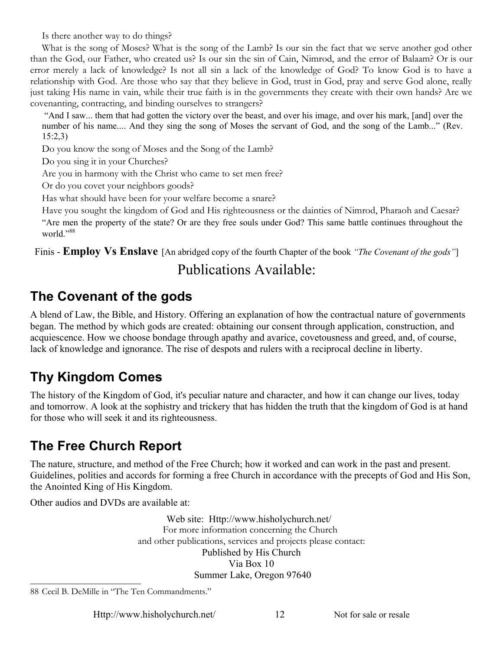Is there another way to do things?

What is the song of Moses? What is the song of the Lamb? Is our sin the fact that we serve another god other than the God, our Father, who created us? Is our sin the sin of Cain, Nimrod, and the error of Balaam? Or is our error merely a lack of knowledge? Is not all sin a lack of the knowledge of God? To know God is to have a relationship with God. Are those who say that they believe in God, trust in God, pray and serve God alone, really just taking His name in vain, while their true faith is in the governments they create with their own hands? Are we covenanting, contracting, and binding ourselves to strangers?

 "And I saw... them that had gotten the victory over the beast, and over his image, and over his mark, [and] over the number of his name.... And they sing the song of Moses the servant of God, and the song of the Lamb..." (Rev. 15:2,3)

Do you know the song of Moses and the Song of the Lamb?

Do you sing it in your Churches?

Are you in harmony with the Christ who came to set men free?

Or do you covet your neighbors goods?

Has what should have been for your welfare become a snare?

Have you sought the kingdom of God and His righteousness or the dainties of Nimrod, Pharaoh and Caesar? "Are men the property of the state? Or are they free souls under God? This same battle continues throughout the world."[88](#page-12-0)

Finis - **Employ Vs Enslave** [An abridged copy of the fourth Chapter of the book *"The Covenant of the gods"*]

### Publications Available:

## **The Covenant of the gods**

A blend of Law, the Bible, and History. Offering an explanation of how the contractual nature of governments began. The method by which gods are created: obtaining our consent through application, construction, and acquiescence. How we choose bondage through apathy and avarice, covetousness and greed, and, of course, lack of knowledge and ignorance. The rise of despots and rulers with a reciprocal decline in liberty.

# **Thy Kingdom Comes**

The history of the Kingdom of God, it's peculiar nature and character, and how it can change our lives, today and tomorrow. A look at the sophistry and trickery that has hidden the truth that the kingdom of God is at hand for those who will seek it and its righteousness.

# **The Free Church Report**

The nature, structure, and method of the Free Church; how it worked and can work in the past and present. Guidelines, polities and accords for forming a free Church in accordance with the precepts of God and His Son, the Anointed King of His Kingdom.

Other audios and DVDs are available at:

Web site: Http://www.hisholychurch.net/ For more information concerning the Church and other publications, services and projects please contact: Published by His Church Via Box 10 Summer Lake, Oregon 97640

Http://www.hisholychurch.net/ 12 Not for sale or resale

<span id="page-12-0"></span><sup>88</sup> Cecil B. DeMille in "The Ten Commandments."